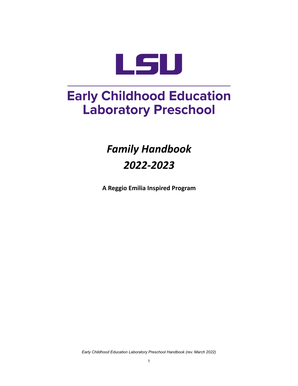

# **Early Childhood Education Laboratory Preschool**

# *Family Handbook 2022-2023*

**A Reggio Emilia Inspired Program**

*Early Childhood Education Laboratory Preschool Handbook (rev. March 2022)*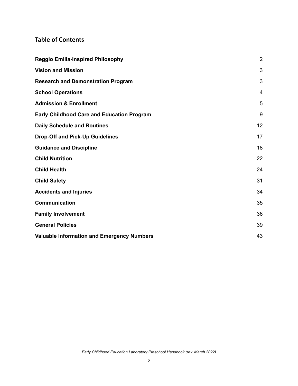# **Table of Contents**

<span id="page-1-0"></span>

| <b>Reggio Emilia-Inspired Philosophy</b>          |    |
|---------------------------------------------------|----|
| <b>Vision and Mission</b>                         | 3  |
| <b>Research and Demonstration Program</b>         | 3  |
| <b>School Operations</b>                          | 4  |
| <b>Admission &amp; Enrollment</b>                 | 5  |
| <b>Early Childhood Care and Education Program</b> | 9  |
| <b>Daily Schedule and Routines</b>                | 12 |
| <b>Drop-Off and Pick-Up Guidelines</b>            | 17 |
| <b>Guidance and Discipline</b>                    | 18 |
| <b>Child Nutrition</b>                            | 22 |
| <b>Child Health</b>                               | 24 |
| <b>Child Safety</b>                               | 31 |
| <b>Accidents and Injuries</b>                     | 34 |
| <b>Communication</b>                              | 35 |
| <b>Family Involvement</b>                         | 36 |
| <b>General Policies</b>                           | 39 |
| <b>Valuable Information and Emergency Numbers</b> | 43 |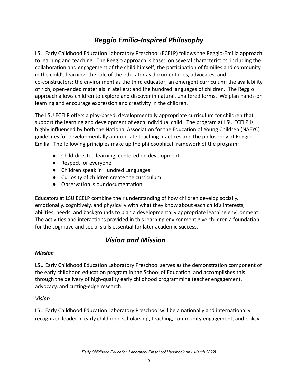# *Reggio Emilia-Inspired Philosophy*

LSU Early Childhood Education Laboratory Preschool (ECELP) follows the Reggio-Emilia approach to learning and teaching. The Reggio approach is based on several characteristics, including the collaboration and engagement of the child himself; the participation of families and community in the child's learning; the role of the educator as documentaries, advocates, and co-constructors; the environment as the third educator; an emergent curriculum; the availability of rich, open-ended materials in ateliers; and the hundred languages of children. The Reggio approach allows children to explore and discover in natural, unaltered forms. We plan hands-on learning and encourage expression and creativity in the children.

The LSU ECELP offers a play-based, developmentally appropriate curriculum for children that support the learning and development of each individual child. The program at LSU ECELP is highly influenced by both the National Association for the Education of Young Children (NAEYC) guidelines for developmentally appropriate teaching practices and the philosophy of Reggio Emilia. The following principles make up the philosophical framework of the program:

- Child-directed learning, centered on development
- Respect for everyone
- Children speak in Hundred Languages
- Curiosity of children create the curriculum
- Observation is our documentation

Educators at LSU ECELP combine their understanding of how children develop socially, emotionally, cognitively, and physically with what they know about each child's interests, abilities, needs, and backgrounds to plan a developmentally appropriate learning environment. The activities and interactions provided in this learning environment give children a foundation for the cognitive and social skills essential for later academic success.

# *Vision and Mission*

#### <span id="page-2-0"></span>*Mission*

LSU Early Childhood Education Laboratory Preschool serves as the demonstration component of the early childhood education program in the School of Education, and accomplishes this through the delivery of high-quality early childhood programming teacher engagement, advocacy, and cutting-edge research.

#### *Vision*

<span id="page-2-1"></span>LSU Early Childhood Education Laboratory Preschool will be a nationally and internationally recognized leader in early childhood scholarship, teaching, community engagement, and policy.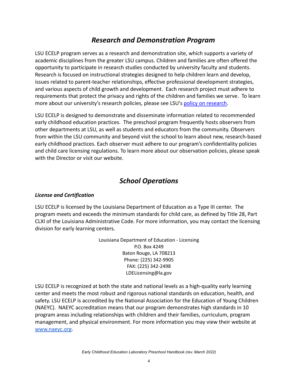# *Research and Demonstration Program*

LSU ECELP program serves as a research and demonstration site, which supports a variety of academic disciplines from the greater LSU campus. Children and families are often offered the opportunity to participate in research studies conducted by university faculty and students. Research is focused on instructional strategies designed to help children learn and develop, issues related to parent-teacher relationships, effective professional development strategies, and various aspects of child growth and development. Each research project must adhere to requirements that protect the privacy and rights of the children and families we serve. To learn more about our university's research policies, please see LSU's [policy on research](https://www.lsu.edu/research/resources_for_faculty/research_policies/index.php).

LSU ECELP is designed to demonstrate and disseminate information related to recommended early childhood education practices. The preschool program frequently hosts observers from other departments at LSU, as well as students and educators from the community. Observers from within the LSU community and beyond visit the school to learn about new, research-based early childhood practices. Each observer must adhere to our program's confidentiality policies and child care licensing regulations. To learn more about our observation policies, please speak with the Director or visit our website.

# *School Operations*

#### <span id="page-3-0"></span>*License and Certification*

LSU ECELP is licensed by the Louisiana Department of Education as a Type III center. The program meets and exceeds the minimum standards for child care, as defined by Title 28, Part CLXI of the Louisiana Administrative Code. For more information, you may contact the licensing division for early learning centers.

> Louisiana Department of Education - Licensing P.O. Box 4249 Baton Rouge, LA 708213 Phone: (225) 342-9905 FAX: (225) 342-2498 LDELicensing@la.gov

LSU ECELP is recognized at both the state and national levels as a high-quality early learning center and meets the most robust and rigorous national standards on education, health, and safety. LSU ECELP is accredited by the National Association for the Education of Young Children (NAEYC). NAEYC accreditation means that our program demonstrates high standards in 10 program areas including relationships with children and their families, curriculum, program management, and physical environment. For more information you may view their website a[t](http://www.naeyc.org) [www.naeyc.org](http://www.naeyc.org)[.](http://www.louisianabelieves.com/early-childhood)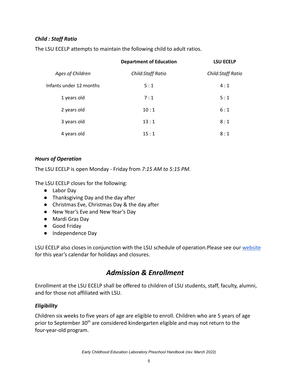### *Child : Staff Ratio*

The LSU ECELP attempts to maintain the following child to adult ratios.

|                         | <b>Department of Education</b> | <b>LSU ECELP</b>         |
|-------------------------|--------------------------------|--------------------------|
| Ages of Children        | <b>Child:Staff Ratio</b>       | <b>Child:Staff Ratio</b> |
| Infants under 12 months | 5:1                            | 4:1                      |
| 1 years old             | 7:1                            | 5:1                      |
| 2 years old             | 10:1                           | 6:1                      |
| 3 years old             | 13:1                           | 8:1                      |
| 4 years old             | 15:1                           | 8:1                      |

#### *Hours of Operation*

The LSU ECELP is open Monday - Friday from *7:15 AM to 5:15 PM.*

The LSU ECELP closes for the following:

- Labor Day
- Thanksgiving Day and the day after
- Christmas Eve, Christmas Day & the day after
- New Year's Eve and New Year's Day
- Mardi Gras Day
- Good Friday
- Independence Day

LSU ECELP also closes in conjunction with the LSU schedule of operation.Please see our [website](http://lsu.edu/ecelp) for this year's calendar for holidays and closures.

# *Admission & Enrollment*

<span id="page-4-0"></span>Enrollment at the LSU ECELP shall be offered to children of LSU students, staff, faculty, alumni, and for those not affiliated with LSU.

#### *Eligibility*

Children six weeks to five years of age are eligible to enroll. Children who are 5 years of age prior to September  $30<sup>th</sup>$  are considered kindergarten eligible and may not return to the four-year-old program.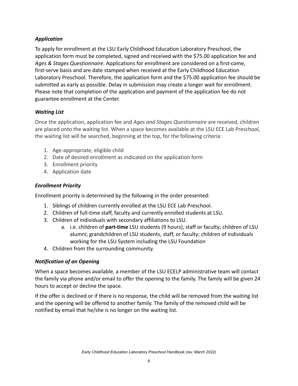### *Application*

To apply for enrollment at the LSU Early Childhood Education Laboratory Preschool, the application form must be completed, signed and received with the \$75.00 application fee and *Ages & Stages Questionnaire*. Applications for enrollment are considered on a first-come, first-serve basis and are date stamped when received at the Early Childhood Education Laboratory Preschool. Therefore, the application form and the \$75.00 application fee should be submitted as early as possible. Delay in submission may create a longer wait for enrollment. Please note that completion of the application and payment of the application fee do not guarantee enrollment at the Center.

#### *Waiting List*

Once the application, application fee and *Ages and Stages Questionnaire* are received, children are placed onto the waiting list. When a space becomes available at the LSU ECE Lab Preschool, the waiting list will be searched, beginning at the top, for the following criteria:

- 1. Age-appropriate, eligible child
- 2. Date of desired enrollment as indicated on the application form
- 3. Enrollment priority
- 4. Application date

### *Enrollment Priority*

Enrollment priority is determined by the following in the order presented:

- 1. Siblings of children currently enrolled at the LSU ECE Lab Preschool.
- 2. Children of full-time staff, faculty and currently enrolled students at LSU.
- 3. Children of individuals with secondary affiliations to LSU.
	- a. i.e. children of **part-time** LSU students (9 hours), staff or faculty; children of LSU alumni; grandchildren of LSU students, staff, or faculty; children of individuals working for the LSU System including the LSU Foundation
- 4. Children from the surrounding community.

#### *Notification of an Opening*

When a space becomes available, a member of the LSU ECELP administrative team will contact the family via phone and/or email to offer the opening to the family. The family will be given 24 hours to accept or decline the space.

If the offer is declined or if there is no response, the child will be removed from the waiting list and the opening will be offered to another family. The family of the removed child will be notified by email that he/she is no longer on the waiting list.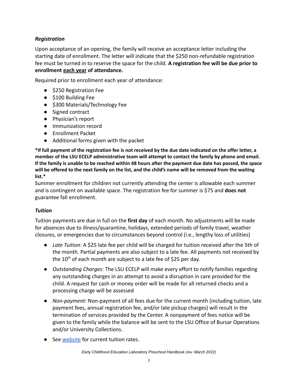### *Registration*

Upon acceptance of an opening, the family will receive an acceptance letter including the starting date of enrollment. The letter will indicate that the \$250 non-refundable registration fee must be turned in to reserve the space for the child. **A registration fee will be due prior to enrollment each year of attendance.**

Required prior to enrollment each year of attendance:

- \$250 Registration Fee
- \$100 Building Fee
- \$300 Materials/Technology Fee
- Signed contract
- Physician's report
- Immunization record
- Enrollment Packet
- Additional forms given with the packet

\*If full payment of the registration fee is not received by the due date indicated on the offer letter, a **member of the LSU ECELP administrative team will attempt to contact the family by phone and email.** If the family is unable to be reached within 48 hours after the payment due date has passed, the space will be offered to the next family on the list, and the child's name will be removed from the waiting **list.\***

Summer enrollment for children not currently attending the center is allowable each summer and is contingent on available space. The registration fee for summer is \$75 and **does not** guarantee fall enrollment.

#### *Tuition*

Tuition payments are due in full on the **first day** of each month. No adjustments will be made for absences due to illness/quarantine, holidays, extended periods of family travel, weather closures, or emergencies due to circumstances beyond control (i.e., lengthy loss of utilities)

- *Late Tuition:* A \$25 late fee per child will be charged for tuition received after the 5th of the month. Partial payments are also subject to a late fee. All payments not received by the  $10^{th}$  of each month are subject to a late fee of \$25 per day.
- *Outstanding Charges:* The LSU ECELP will make every effort to notify families regarding any outstanding charges in an attempt to avoid a disruption in care provided for the child. A request for cash or money order will be made for all returned checks and a processing charge will be assessed
- *Non-payment:* Non-payment of all fees due for the current month (including tuition, late payment fees, annual registration fee, and/or late pickup charges) will result in the termination of services provided by the Center. A nonpayment of fees notice will be given to the family while the balance will be sent to the LSU Office of Bursar Operations and/or University Collections.
- See [website](https://www.lsu.edu/chse/ecelp/tuitionandfees.php) for current tuition rates.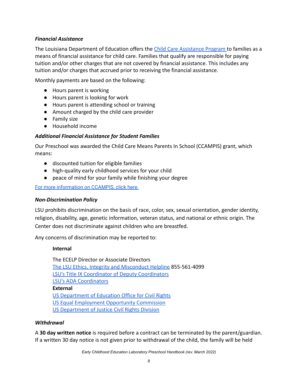#### *Financial Assistance*

The Louisiana Department of Education offers the Child [Care Assistance Program](https://www.louisianabelieves.com/early-childhood/child-care-assistance-program) to families as a means of financial assistance for child care. Families that qualify are responsible for paying tuition and/or other charges that are not covered by financial assistance. This includes any tuition and/or charges that accrued prior to receiving the financial assistance.

Monthly payments are based on the following:

- Hours parent is working
- Hours parent is looking for work
- Hours parent is attending school or training
- Amount charged by the child care provider
- Family size
- Household income

### *Additional Financial Assistance for Student Families*

Our Preschool was awarded the Child Care Means Parents In School (CCAMPIS) grant, which means:

- discounted tuition for eligible families
- high-quality early childhood services for your child
- peace of mind for your family while finishing your degree

[For more information on CCAMPIS, click here.](https://www.lsu.edu/pregnancy-parenting/communications/childcare.phpns/childcare.php)

#### *Non-Discrimination Policy*

LSU prohibits discrimination on the basis of race, color, sex, sexual orientation, gender identity, religion, disability, age, genetic information, veteran status, and national or ethnic origin. The Center does not discriminate against children who are breastfed.

Any concerns of discrimination may be reported to:

#### **Internal**

The ECELP Director or Associate Directors [The LSU Ethics, Integrity and Misconduct Helpline](https://secure.ethicspoint.com/domain/media/en/gui/40897/index.html) 855-561-4099 [LSU's Title IX Coordinator of Deputy Coordinators](https://www.lsu.edu/titleix/) [LSU's ADA Coordinators](https://www.lsu.edu/accessibility/) **External** [US Department of Education Office for Civil Rights](https://www2.ed.gov/about/offices/list/ocr/complaintprocess.html) [US Equal Employment Opportunity Commission](https://www.eeoc.gov/eeoc/newsroom/wysk/harassed_at_work.cfm) [US Department of Justice Civil Rights Division](https://www.ada.gov/filing_complaint.htm)

#### *Withdrawal*

A **30 day written notice** is required before a contract can be terminated by the parent/guardian. If a written 30 day notice is not given prior to withdrawal of the child, the family will be held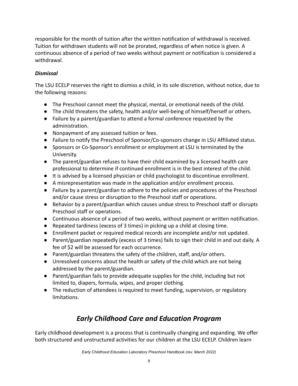responsible for the month of tuition after the written notification of withdrawal is received. Tuition for withdrawn students will not be prorated, regardless of when notice is given. A continuous absence of a period of two weeks without payment or notification is considered a withdrawal.

# *Dismissal*

The LSU ECELP reserves the right to dismiss a child, in its sole discretion, without notice, due to the following reasons:

- The Preschool cannot meet the physical, mental, or emotional needs of the child.
- The child threatens the safety, health and/or well-being of himself/herself or others.
- Failure by a parent/guardian to attend a formal conference requested by the administration.
- Nonpayment of any assessed tuition or fees.
- Failure to notify the Preschool of Sponsor/Co-sponsors change in LSU Affiliated status.
- Sponsors or Co-Sponsor's enrollment or employment at LSU is terminated by the University.
- The parent/guardian refuses to have their child examined by a licensed health care professional to determine if continued enrollment is in the best interest of the child.
- It is advised by a licensed physician or child psychologist to discontinue enrollment.
- A misrepresentation was made in the application and/or enrollment process.
- Failure by a parent/guardian to adhere to the policies and procedures of the Preschool and/or cause stress or disruption to the Preschool staff or operations.
- Behavior by a parent/guardian which causes undue stress to Preschool staff or disrupts Preschool staff or operations.
- Continuous absence of a period of two weeks, without payment or written notification.
- Repeated tardiness (excess of 3 times) in picking up a child at closing time.
- Enrollment packet or required medical records are incomplete and/or not updated.
- Parent/guardian repeatedly (excess of 3 times) fails to sign their child in and out daily. A fee of \$2 will be assessed for each occurrence.
- Parent/guardian threatens the safety of the children, staff, and/or others.
- Unresolved concerns about the health or safety of the child which are not being addressed by the parent/guardian.
- Parent/guardian fails to provide adequate supplies for the child, including but not limited to, diapers, formula, wipes, and proper clothing.
- The reduction of attendees is required to meet funding, supervision, or regulatory limitations.

# *Early Childhood Care and Education Program*

<span id="page-8-0"></span>Early childhood development is a process that is continually changing and expanding. We offer both structured and unstructured activities for our children at the LSU ECELP. Children learn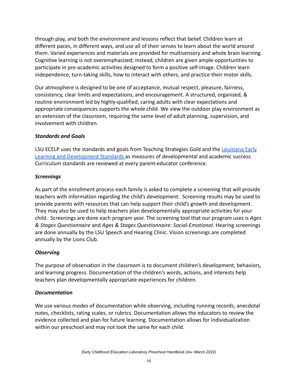through play, and both the environment and lessons reflect that belief. Children learn at different paces, in different ways, and use all of their senses to learn about the world around them. Varied experiences and materials are provided for multisensory and whole brain learning. Cognitive learning is not overemphasized; instead, children are given ample opportunities to participate in pre-academic activities designed to form a positive self-image. Children learn independence, turn-taking skills, how to interact with others, and practice their motor skills.

Our atmosphere is designed to be one of acceptance, mutual respect, pleasure, fairness, consistency, clear limits and expectations, and encouragement. A structured, organized, & routine environment led by highly-qualified, caring adults with clear expectations and appropriate consequences supports the whole child. We view the outdoor play environment as an extension of the classroom, requiring the same level of adult planning, supervision, and involvement with children.

#### *Standards and Goals*

LSU ECELP uses the standards and goals from Teaching Strategies Gold and the [Louisiana Early](http://www.louisianabelieves.com/docs/default-source/academic-standards/early-childhood---birth-to-five-standards.pdf?sfvrsn=6) [Learning and Development Standards](http://www.louisianabelieves.com/docs/default-source/academic-standards/early-childhood---birth-to-five-standards.pdf?sfvrsn=6) as measures of developmental and academic success. Curriculum standards are reviewed at every parent-educator conference.

#### *Screenings*

As part of the enrollment process each family is asked to complete a screening that will provide teachers with information regarding the child's development. Screening results may be used to provide parents with resources that can help support their child's growth and development. They may also be used to help teachers plan developmentally appropriate activities for your child. Screenings are done each program year. The screening tool that our program uses is *Ages & Stages Questionnaire* and *Ages & Stages Questionnaire: Social-Emotional*. Hearing screenings are done annually by the LSU Speech and Hearing Clinic. Vision screenings are completed annually by the Lions Club.

#### *Observing*

The purpose of observation in the classroom is to document children's development, behaviors, and learning progress. Documentation of the children's words, actions, and interests help teachers plan developmentally appropriate experiences for children.

#### *Documentation*

We use various modes of documentation while observing, including running records, anecdotal notes, checklists, rating scales, or rubrics. Documentation allows the educators to review the evidence collected and plan for future learning. Documentation allows for individualization within our preschool and may not look the same for each child.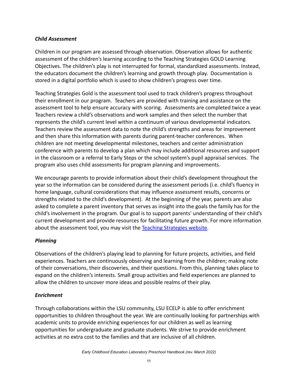#### *Child Assessment*

Children in our program are assessed through observation. Observation allows for authentic assessment of the children's learning according to the Teaching Strategies GOLD Learning Objectives. The children's play is not interrupted for formal, standardized assessments. Instead, the educators document the children's learning and growth through play. Documentation is stored in a digital portfolio which is used to show children's progress over time.

Teaching Strategies Gold is the assessment tool used to track children's progress throughout their enrollment in our program. Teachers are provided with training and assistance on the assessment tool to help ensure accuracy with scoring. Assessments are completed twice a year. Teachers review a child's observations and work samples and then select the number that represents the child's current level within a continuum of various developmental indicators. Teachers review the assessment data to note the child's strengths and areas for improvement and then share this information with parents during parent-teacher conferences. When children are not meeting developmental milestones, teachers and center administration conference with parents to develop a plan which may include additional resources and support in the classroom or a referral to Early Steps or the school system's pupil appraisal services. The program also uses child assessments for program planning and improvements.

We encourage parents to provide information about their child's development throughout the year so the information can be considered during the assessment periods (i.e. child's fluency in home language, cultural considerations that may influence assessment results, concerns or strengths related to the child's development). At the beginning of the year, parents are also asked to complete a parent inventory that serves as insight into the goals the family has for the child's involvement in the program. Our goal is to support parents' understanding of their child's current development and provide resources for facilitating future growth. For more information about the assessment tool, you may visit the Teaching [Strategies website.](http://www.teachingstrategies.com)

#### *Planning*

Observations of the children's playing lead to planning for future projects, activities, and field experiences. Teachers are continuously observing and learning from the children; making note of their conversations, their discoveries, and their questions. From this, planning takes place to expand on the children's interests. Small group activities and field experiences are planned to allow the children to uncover more ideas and possible realms of their play.

#### *Enrichment*

Through collaborations within the LSU community, LSU ECELP is able to offer enrichment opportunities to children throughout the year. We are continually looking for partnerships with academic units to provide enriching experiences for our children as well as learning opportunities for undergraduate and graduate students. We strive to provide enrichment activities at no extra cost to the families and that are inclusive of all children.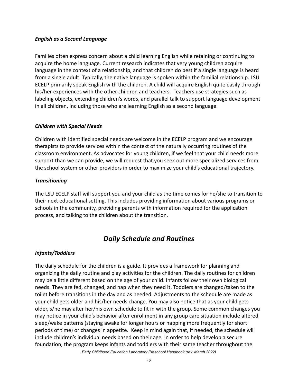#### *English as a Second Language*

Families often express concern about a child learning English while retaining or continuing to acquire the home language. Current research indicates that very young children acquire language in the context of a relationship, and that children do best if a single language is heard from a single adult. Typically, the native language is spoken within the familial relationship. LSU ECELP primarily speak English with the children. A child will acquire English quite easily through his/her experiences with the other children and teachers. Teachers use strategies such as labeling objects, extending children's words, and parallel talk to support language development in all children, including those who are learning English as a second language.

#### *Children with Special Needs*

Children with identified special needs are welcome in the ECELP program and we encourage therapists to provide services within the context of the naturally occurring routines of the classroom environment. As advocates for young children, if we feel that your child needs more support than we can provide, we will request that you seek out more specialized services from the school system or other providers in order to maximize your child's educational trajectory.

#### *Transitioning*

The LSU ECELP staff will support you and your child as the time comes for he/she to transition to their next educational setting. This includes providing information about various programs or schools in the community, providing parents with information required for the application process, and talking to the children about the transition.

# *Daily Schedule and Routines*

#### <span id="page-11-0"></span>*Infants/Toddlers*

The daily schedule for the children is a guide. It provides a framework for planning and organizing the daily routine and play activities for the children. The daily routines for children may be a little different based on the age of your child. Infants follow their own biological needs. They are fed, changed, and nap when they need it. Toddlers are changed/taken to the toilet before transitions in the day and as needed. Adjustments to the schedule are made as your child gets older and his/her needs change. You may also notice that as your child gets older, s/he may alter her/his own schedule to fit in with the group. Some common changes you may notice in your child's behavior after enrollment in any group care situation include altered sleep/wake patterns (staying awake for longer hours or napping more frequently for short periods of time) or changes in appetite. Keep in mind again that, if needed, the schedule will include children's individual needs based on their age. In order to help develop a secure foundation, the program keeps infants and toddlers with their same teacher throughout the *Early Childhood Education Laboratory Preschool Handbook (rev. March 2022)*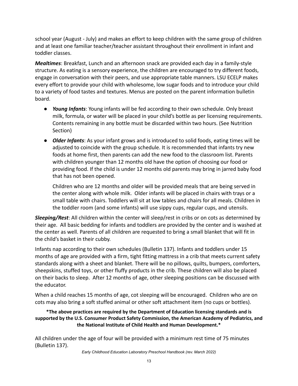school year (August - July) and makes an effort to keep children with the same group of children and at least one familiar teacher/teacher assistant throughout their enrollment in infant and toddler classes.

*Mealtimes*: Breakfast, Lunch and an afternoon snack are provided each day in a family-style structure. As eating is a sensory experience, the children are encouraged to try different foods, engage in conversation with their peers, and use appropriate table manners. LSU ECELP makes every effort to provide your child with wholesome, low sugar foods and to introduce your child to a variety of food tastes and textures. Menus are posted on the parent information bulletin board.

- *● Young Infants*: Young infants will be fed according to their own schedule. Only breast milk, formula, or water will be placed in your child's bottle as per licensing requirements. Contents remaining in any bottle must be discarded within two hours. (See Nutrition Section)
- *● Older Infants*: As your infant grows and is introduced to solid foods, eating times will be adjusted to coincide with the group schedule. It is recommended that infants try new foods at home first, then parents can add the new food to the classroom list. Parents with children younger than 12 months old have the option of choosing our food or providing food. If the child is under 12 months old parents may bring in jarred baby food that has not been opened.

Children who are 12 months and older will be provided meals that are being served in the center along with whole milk. Older infants will be placed in chairs with trays or a small table with chairs. Toddlers will sit at low tables and chairs for all meals. Children in the toddler room (and some infants) will use sippy cups, regular cups, and utensils.

*Sleeping/Rest*: All children within the center will sleep/rest in cribs or on cots as determined by their age. All basic bedding for infants and toddlers are provided by the center and is washed at the center as well. Parents of all children are requested to bring a small blanket that will fit in the child's basket in their cubby.

Infants nap according to their own schedules (Bulletin 137). Infants and toddlers under 15 months of age are provided with a firm, tight fitting mattress in a crib that meets current safety standards along with a sheet and blanket. There will be no pillows, quilts, bumpers, comforters, sheepskins, stuffed toys, or other fluffy products in the crib. These children will also be placed on their backs to sleep. After 12 months of age, other sleeping positions can be discussed with the educator.

When a child reaches 15 months of age, cot sleeping will be encouraged. Children who are on cots may also bring a soft stuffed animal or other soft attachment item (no cups or bottles).

**\*The above practices are required by the Department of Education licensing standards and is supported by the U.S. Consumer Product Safety Commission, the American Academy of Pediatrics, and the National Institute of Child Health and Human Development.\***

All children under the age of four will be provided with a minimum rest time of 75 minutes (Bulletin 137).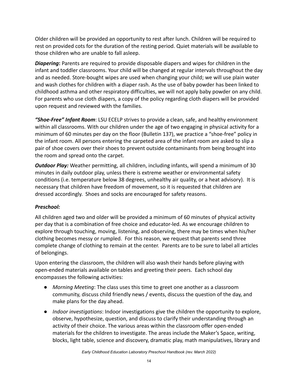Older children will be provided an opportunity to rest after lunch. Children will be required to rest on provided cots for the duration of the resting period. Quiet materials will be available to those children who are unable to fall asleep.

*Diapering***:** Parents are required to provide disposable diapers and wipes for children in the infant and toddler classrooms. Your child will be changed at regular intervals throughout the day and as needed. Store-bought wipes are used when changing your child; we will use plain water and wash clothes for children with a diaper rash. As the use of baby powder has been linked to childhood asthma and other respiratory difficulties, we will not apply baby powder on any child. For parents who use cloth diapers, a copy of the policy regarding cloth diapers will be provided upon request and reviewed with the families.

*"Shoe‐Free" Infant Room*: LSU ECELP strives to provide a clean, safe, and healthy environment within all classrooms. With our children under the age of two engaging in physical activity for a minimum of 60 minutes per day on the floor (Bulletin 137), we practice a "shoe-free" policy in the infant room. All persons entering the carpeted area of the infant room are asked to slip a pair of shoe covers over their shoes to prevent outside contaminants from being brought into the room and spread onto the carpet.

*Outdoor Play:* Weather permitting, all children, including infants, will spend a minimum of 30 minutes in daily outdoor play, unless there is extreme weather or environmental safety conditions (i.e. temperature below 38 degrees, unhealthy air quality, or a heat advisory). It is necessary that children have freedom of movement, so it is requested that children are dressed accordingly. Shoes and socks are encouraged for safety reasons.

#### *Preschool:*

All children aged two and older will be provided a minimum of 60 minutes of physical activity per day that is a combination of free choice and educator-led. As we encourage children to explore through touching, moving, listening, and observing, there may be times when his/her clothing becomes messy or rumpled. For this reason, we request that parents send three complete change of clothing to remain at the center. Parents are to be sure to label all articles of belongings.

Upon entering the classroom, the children will also wash their hands before playing with open-ended materials available on tables and greeting their peers. Each school day encompasses the following activities:

- *Morning Meeting*: The class uses this time to greet one another as a classroom community, discuss child friendly news / events, discuss the question of the day, and make plans for the day ahead.
- *Indoor investigations*: Indoor investigations give the children the opportunity to explore, observe, hypothesize, question, and discuss to clarify their understanding through an activity of their choice. The various areas within the classroom offer open-ended materials for the children to investigate. The areas include the Maker's Space, writing, blocks, light table, science and discovery, dramatic play, math manipulatives, library and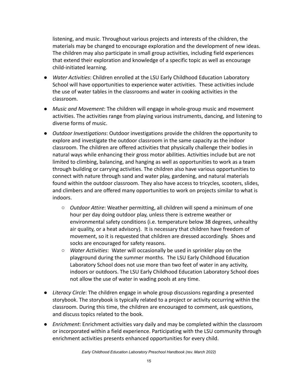listening, and music. Throughout various projects and interests of the children, the materials may be changed to encourage exploration and the development of new ideas. The children may also participate in small group activities, including field experiences that extend their exploration and knowledge of a specific topic as well as encourage child-initiated learning.

- *Water Activities*: Children enrolled at the LSU Early Childhood Education Laboratory School will have opportunities to experience water activities. These activities include the use of water tables in the classrooms and water in cooking activities in the classroom.
- *Music and Movement*: The children will engage in whole-group music and movement activities. The activities range from playing various instruments, dancing, and listening to diverse forms of music.
- *Outdoor Investigations*: Outdoor investigations provide the children the opportunity to explore and investigate the outdoor classroom in the same capacity as the indoor classroom. The children are offered activities that physically challenge their bodies in natural ways while enhancing their gross motor abilities. Activities include but are not limited to climbing, balancing, and hanging as well as opportunities to work as a team through building or carrying activities. The children also have various opportunities to connect with nature through sand and water play, gardening, and natural materials found within the outdoor classroom. They also have access to tricycles, scooters, slides, and climbers and are offered many opportunities to work on projects similar to what is indoors.
	- *Outdoor Attire*: Weather permitting, all children will spend a minimum of one hour per day doing outdoor play, unless there is extreme weather or environmental safety conditions (i.e. temperature below 38 degrees, unhealthy air quality, or a heat advisory). It is necessary that children have freedom of movement, so it is requested that children are dressed accordingly. Shoes and socks are encouraged for safety reasons.
	- *Water Activities*: Water will occasionally be used in sprinkler play on the playground during the summer months. The LSU Early Childhood Education Laboratory School does not use more than two feet of water in any activity, indoors or outdoors. The LSU Early Childhood Education Laboratory School does not allow the use of water in wading pools at any time.
- *Literacy Circle*: The children engage in whole group discussions regarding a presented storybook. The storybook is typically related to a project or activity occurring within the classroom. During this time, the children are encouraged to comment, ask questions, and discuss topics related to the book.
- *Enrichment*: Enrichment activities vary daily and may be completed within the classroom or incorporated within a field experience. Participating with the LSU community through enrichment activities presents enhanced opportunities for every child.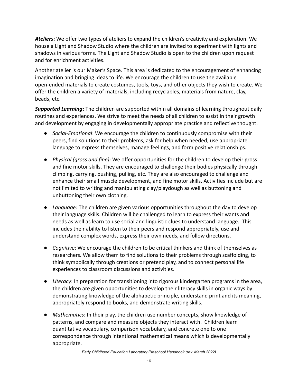*Ateliers***:** We offer two types of ateliers to expand the children's creativity and exploration. We house a Light and Shadow Studio where the children are invited to experiment with lights and shadows in various forms. The Light and Shadow Studio is open to the children upon request and for enrichment activities.

Another atelier is our Maker's Space. This area is dedicated to the encouragement of enhancing imagination and bringing ideas to life. We encourage the children to use the available open-ended materials to create costumes, tools, toys, and other objects they wish to create. We offer the children a variety of materials, including recyclables, materials from nature, clay, beads, etc.

*Supported Learning***:** The children are supported within all domains of learning throughout daily routines and experiences. We strive to meet the needs of all children to assist in their growth and development by engaging in developmentally appropriate practice and reflective thought.

- *Social-Emotional*: We encourage the children to continuously compromise with their peers, find solutions to their problems, ask for help when needed, use appropriate language to express themselves, manage feelings, and form positive relationships.
- *Physical (gross and fine)*: We offer opportunities for the children to develop their gross and fine motor skills. They are encouraged to challenge their bodies physically through climbing, carrying, pushing, pulling, etc. They are also encouraged to challenge and enhance their small muscle development, and fine motor skills. Activities include but are not limited to writing and manipulating clay/playdough as well as buttoning and unbuttoning their own clothing.
- *Language*: The children are given various opportunities throughout the day to develop their language skills. Children will be challenged to learn to express their wants and needs as well as learn to use social and linguistic clues to understand language. This includes their ability to listen to their peers and respond appropriately, use and understand complex words, express their own needs, and follow directions.
- *Cognitive*: We encourage the children to be critical thinkers and think of themselves as researchers. We allow them to find solutions to their problems through scaffolding, to think symbolically through creations or pretend play, and to connect personal life experiences to classroom discussions and activities.
- *Literacy*: In preparation for transitioning into rigorous kindergarten programs in the area, the children are given opportunities to develop their literacy skills in organic ways by demonstrating knowledge of the alphabetic principle, understand print and its meaning, appropriately respond to books, and demonstrate writing skills.
- *Mathematics*: In their play, the children use number concepts, show knowledge of patterns, and compare and measure objects they interact with. Children learn quantitative vocabulary, comparison vocabulary, and concrete one to one correspondence through intentional mathematical means which is developmentally appropriate.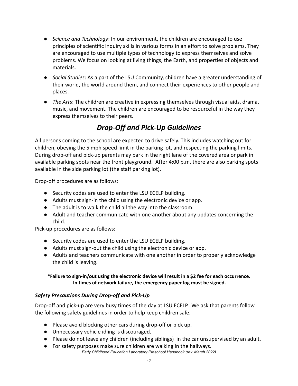- *Science and Technology*: In our environment, the children are encouraged to use principles of scientific inquiry skills in various forms in an effort to solve problems. They are encouraged to use multiple types of technology to express themselves and solve problems. We focus on looking at living things, the Earth, and properties of objects and materials.
- *Social Studies*: As a part of the LSU Community, children have a greater understanding of their world, the world around them, and connect their experiences to other people and places.
- *The Arts*: The children are creative in expressing themselves through visual aids, drama, music, and movement. The children are encouraged to be resourceful in the way they express themselves to their peers.

# *Drop-Off and Pick-Up Guidelines*

<span id="page-16-0"></span>All persons coming to the school are expected to drive safely. This includes watching out for children, obeying the 5 mph speed limit in the parking lot, and respecting the parking limits. During drop-off and pick-up parents may park in the right lane of the covered area or park in available parking spots near the front playground. After 4:00 p.m. there are also parking spots available in the side parking lot (the staff parking lot).

Drop-off procedures are as follows:

- Security codes are used to enter the LSU ECELP building.
- Adults must sign-in the child using the electronic device or app.
- The adult is to walk the child all the way into the classroom.
- Adult and teacher communicate with one another about any updates concerning the child.

Pick-up procedures are as follows:

- Security codes are used to enter the LSU ECELP building.
- Adults must sign-out the child using the electronic device or app.
- Adults and teachers communicate with one another in order to properly acknowledge the child is leaving.

#### **\*Failure to sign-in/out using the electronic device will result in a \$2 fee for each occurrence. In times of network failure, the emergency paper log must be signed.**

# *Safety Precautions During Drop-off and Pick-Up*

Drop-off and pick-up are very busy times of the day at LSU ECELP. We ask that parents follow the following safety guidelines in order to help keep children safe.

- Please avoid blocking other cars during drop-off or pick up.
- Unnecessary vehicle idling is discouraged.
- Please do not leave any children (including siblings) in the car unsupervised by an adult.
- For safety purposes make sure children are walking in the hallways. *Early Childhood Education Laboratory Preschool Handbook (rev. March 2022)*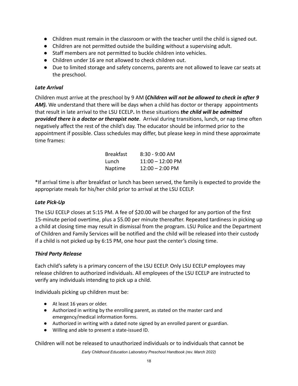- Children must remain in the classroom or with the teacher until the child is signed out.
- Children are not permitted outside the building without a supervising adult.
- Staff members are not permitted to buckle children into vehicles.
- Children under 16 are not allowed to check children out.
- Due to limited storage and safety concerns, parents are not allowed to leave car seats at the preschool.

#### *Late Arrival*

Children must arrive at the preschool by 9 AM **(***Children will not be allowed to check in after 9* AM). We understand that there will be days when a child has doctor or therapy appointments that result in late arrival to the LSU ECELP**.** In these situations *the child will be admitted provided there is a doctor or therapist note*. Arrival during transitions, lunch, or nap time often negatively affect the rest of the child's day. The educator should be informed prior to the appointment if possible. Class schedules may differ, but please keep in mind these approximate time frames:

| <b>Breakfast</b> | 8:30 - 9:00 AM            |
|------------------|---------------------------|
| Lunch            | $11:00 - 12:00$ PM        |
| <b>Naptime</b>   | $12:00 - 2:00 \text{ PM}$ |

\*If arrival time is after breakfast or lunch has been served, the family is expected to provide the appropriate meals for his/her child prior to arrival at the LSU ECELP.

#### *Late Pick-Up*

The LSU ECELP closes at 5:15 PM. A fee of \$20.00 will be charged for any portion of the first 15-minute period overtime, plus a \$5.00 per minute thereafter. Repeated tardiness in picking up a child at closing time may result in dismissal from the program. LSU Police and the Department of Children and Family Services will be notified and the child will be released into their custody if a child is not picked up by 6:15 PM, one hour past the center's closing time.

#### *Third Party Release*

Each child's safety is a primary concern of the LSU ECELP. Only LSU ECELP employees may release children to authorized individuals. All employees of the LSU ECELP are instructed to verify any individuals intending to pick up a child.

Individuals picking up children must be:

- At least 16 years or older.
- Authorized in writing by the enrolling parent, as stated on the master card and emergency/medical information forms.
- Authorized in writing with a dated note signed by an enrolled parent or guardian.
- Willing and able to present a state-issued ID.

Children will not be released to unauthorized individuals or to individuals that cannot be

*Early Childhood Education Laboratory Preschool Handbook (rev. March 2022)*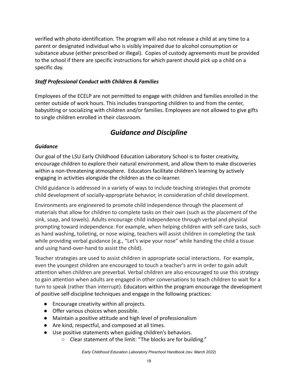verified with photo identification. The program will also not release a child at any time to a parent or designated individual who is visibly impaired due to alcohol consumption or substance abuse (either prescribed or illegal). Copies of custody agreements must be provided to the school if there are specific instructions for which parent should pick up a child on a specific day.

### *Staff Professional Conduct with Children & Families*

Employees of the ECELP are not permitted to engage with children and families enrolled in the center outside of work hours. This includes transporting children to and from the center, babysitting or socializing with children and/or families. Employees are not allowed to give gifts to single children enrolled in their classroom.

# *Guidance and Discipline*

#### <span id="page-18-0"></span>*Guidance*

Our goal of the LSU Early Childhood Education Laboratory School is to foster creativity, encourage children to explore their natural environment, and allow them to make discoveries within a non-threatening atmosphere. Educators facilitate children's learning by actively engaging in activities alongside the children as the co-learner.

Child guidance is addressed in a variety of ways to include teaching strategies that promote child development of socially-appropriate behavior, in consideration of child development.

Environments are engineered to promote child independence through the placement of materials that allow for children to complete tasks on their own (such as the placement of the sink, soap, and towels). Adults encourage child independence through verbal and physical prompting toward independence. For example, when helping children with self-care tasks, such as hand washing, toileting, or nose wiping, teachers will assist children in completing the task while providing verbal guidance (e.g., "Let's wipe your nose" while handing the child a tissue and using hand-over-hand to assist the child).

Teacher strategies are used to assist children in appropriate social interactions. For example, even the youngest children are encouraged to touch a teacher's arm in order to gain adult attention when children are preverbal. Verbal children are also encouraged to use this strategy to gain attention when adults are engaged in other conversations to teach children to wait for a turn to speak (rather than interrupt). Educators within the program encourage the development of positive self-discipline techniques and engage in the following practices:

- Encourage creativity within all projects.
- Offer various choices when possible.
- Maintain a positive attitude and high level of professionalism
- Are kind, respectful, and composed at all times.
- Use positive statements when guiding children's behaviors.
	- Clear statement of the limit: "The blocks are for building."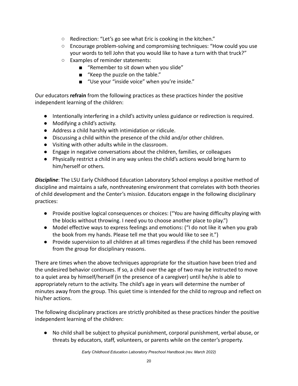- Redirection: "Let's go see what Eric is cooking in the kitchen."
- Encourage problem-solving and compromising techniques: "How could you use your words to tell John that you would like to have a turn with that truck?"
- Examples of reminder statements:
	- "Remember to sit down when you slide"
	- "Keep the puzzle on the table."
	- "Use your "inside voice" when you're inside."

Our educators **refrain** from the following practices as these practices hinder the positive independent learning of the children:

- Intentionally interfering in a child's activity unless guidance or redirection is required.
- Modifying a child's activity.
- Address a child harshly with intimidation or ridicule.
- Discussing a child within the presence of the child and/or other children.
- Visiting with other adults while in the classroom.
- Engage in negative conversations about the children, families, or colleagues
- Physically restrict a child in any way unless the child's actions would bring harm to him/herself or others.

*Discipline*: The LSU Early Childhood Education Laboratory School employs a positive method of discipline and maintains a safe, nonthreatening environment that correlates with both theories of child development and the Center's mission. Educators engage in the following disciplinary practices:

- Provide positive logical consequences or choices: ("You are having difficulty playing with the blocks without throwing. I need you to choose another place to play.")
- Model effective ways to express feelings and emotions: ("I do not like it when you grab the book from my hands. Please tell me that you would like to see it.")
- Provide supervision to all children at all times regardless if the child has been removed from the group for disciplinary reasons.

There are times when the above techniques appropriate for the situation have been tried and the undesired behavior continues. If so, a child over the age of two may be instructed to move to a quiet area by himself/herself (in the presence of a caregiver) until he/she is able to appropriately return to the activity. The child's age in years will determine the number of minutes away from the group. This quiet time is intended for the child to regroup and reflect on his/her actions.

The following disciplinary practices are strictly prohibited as these practices hinder the positive independent learning of the children:

● No child shall be subject to physical punishment, corporal punishment, verbal abuse, or threats by educators, staff, volunteers, or parents while on the center's property.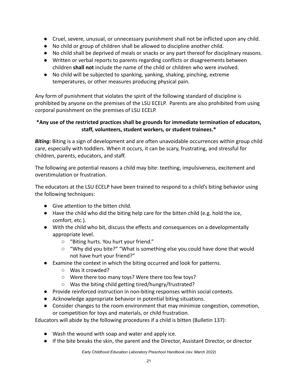- Cruel, severe, unusual, or unnecessary punishment shall not be inflicted upon any child.
- No child or group of children shall be allowed to discipline another child.
- No child shall be deprived of meals or snacks or any part thereof for disciplinary reasons.
- Written or verbal reports to parents regarding conflicts or disagreements between children **shall not** include the name of the child or children who were involved.
- No child will be subjected to spanking, yanking, shaking, pinching, extreme temperatures, or other measures producing physical pain.

Any form of punishment that violates the spirit of the following standard of discipline is prohibited by anyone on the premises of the LSU ECELP. Parents are also prohibited from using corporal punishment on the premises of LSU ECELP.

#### **\*Any use of the restricted practices shall be grounds for immediate termination of educators, staff, volunteers, student workers, or student trainees.\***

*Biting:* Biting is a sign of development and are often unavoidable occurrences within group child care, especially with toddlers. When it occurs, it can be scary, frustrating, and stressful for children, parents, educators, and staff.

The following are potential reasons a child may bite: teething, impulsiveness, excitement and overstimulation or frustration.

The educators at the LSU ECELP have been trained to respond to a child's biting behavior using the following techniques:

- Give attention to the bitten child.
- Have the child who did the biting help care for the bitten child (e.g. hold the ice, comfort, etc.).
- With the child who bit, discuss the effects and consequences on a developmentally appropriate level.
	- "Biting hurts. You hurt your friend."
	- "Why did you bite?" "What is something else you could have done that would not have hurt your friend?"
- Examine the context in which the biting occurred and look for patterns.
	- Was it crowded?
	- Were there too many toys? Were there too few toys?
	- Was the biting child getting tired/hungry/frustrated?
- Provide reinforced instruction in non-biting responses within social contexts.
- Acknowledge appropriate behavior in potential biting situations.
- Consider changes to the room environment that may minimize congestion, commotion, or competition for toys and materials, or child frustration.

Educators will abide by the following procedures if a child is bitten (Bulletin 137):

- Wash the wound with soap and water and apply ice.
- If the bite breaks the skin, the parent and the Director, Assistant Director, or director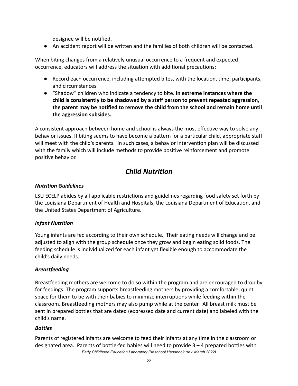designee will be notified.

● An accident report will be written and the families of both children will be contacted.

When biting changes from a relatively unusual occurrence to a frequent and expected occurrence, educators will address the situation with additional precautions:

- Record each occurrence, including attempted bites, with the location, time, participants, and circumstances.
- "Shadow" children who indicate a tendency to bite. **In extreme instances where the child is consistently to be shadowed by a staff person to prevent repeated aggression, the parent may be notified to remove the child from the school and remain home until the aggression subsides.**

A consistent approach between home and school is always the most effective way to solve any behavior issues. If biting seems to have become a pattern for a particular child, appropriate staff will meet with the child's parents. In such cases, a behavior intervention plan will be discussed with the family which will include methods to provide positive reinforcement and promote positive behavior.

# *Child Nutrition*

### <span id="page-21-0"></span>*Nutrition Guidelines*

LSU ECELP abides by all applicable restrictions and guidelines regarding food safety set forth by the Louisiana Department of Health and Hospitals, the Louisiana Department of Education, and the United States Department of Agriculture.

# *Infant Nutrition*

Young infants are fed according to their own schedule. Their eating needs will change and be adjusted to align with the group schedule once they grow and begin eating solid foods. The feeding schedule is individualized for each infant yet flexible enough to accommodate the child's daily needs.

#### *Breastfeeding*

Breastfeeding mothers are welcome to do so within the program and are encouraged to drop by for feedings. The program supports breastfeeding mothers by providing a comfortable, quiet space for them to be with their babies to minimize interruptions while feeding within the classroom. Breastfeeding mothers may also pump while at the center. All breast milk must be sent in prepared bottles that are dated (expressed date and current date) and labeled with the child's name.

#### *Bottles*

Parents of registered infants are welcome to feed their infants at any time in the classroom or designated area. Parents of bottle-fed babies will need to provide 3 – 4 prepared bottles with *Early Childhood Education Laboratory Preschool Handbook (rev. March 2022)*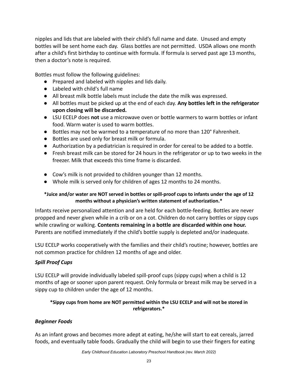nipples and lids that are labeled with their child's full name and date. Unused and empty bottles will be sent home each day. Glass bottles are not permitted. USDA allows one month after a child's first birthday to continue with formula. If formula is served past age 13 months, then a doctor's note is required.

Bottles must follow the following guidelines:

- Prepared and labeled with nipples and lids daily.
- Labeled with child's full name
- All breast milk bottle labels must include the date the milk was expressed.
- All bottles must be picked up at the end of each day. **Any bottles left in the refrigerator upon closing will be discarded.**
- LSU ECELP does **not** use a microwave oven or bottle warmers to warm bottles or infant food. Warm water is used to warm bottles.
- Bottles may not be warmed to a temperature of no more than 120° Fahrenheit.
- Bottles are used only for breast milk or formula.
- Authorization by a pediatrician is required in order for cereal to be added to a bottle.
- Fresh breast milk can be stored for 24 hours in the refrigerator or up to two weeks in the freezer. Milk that exceeds this time frame is discarded.
- Cow's milk is not provided to children younger than 12 months.
- Whole milk is served only for children of ages 12 months to 24 months.

#### **\*Juice and/or water are NOT served in bottles or spill-proof cups to infants under the age of 12 months without a physician's written statement of authorization.\***

Infants receive personalized attention and are held for each bottle-feeding. Bottles are never propped and never given while in a crib or on a cot. Children do not carry bottles or sippy cups while crawling or walking. **Contents remaining in a bottle are discarded within one hour.** Parents are notified immediately if the child's bottle supply is depleted and/or inadequate.

LSU ECELP works cooperatively with the families and their child's routine; however, bottles are not common practice for children 12 months of age and older.

#### *Spill Proof Cups*

LSU ECELP will provide individually labeled spill-proof cups (sippy cups) when a child is 12 months of age or sooner upon parent request. Only formula or breast milk may be served in a sippy cup to children under the age of 12 months.

#### **\*Sippy cups from home are NOT permitted within the LSU ECELP and will not be stored in refrigerators.\***

#### *Beginner Foods*

As an infant grows and becomes more adept at eating, he/she will start to eat cereals, jarred foods, and eventually table foods. Gradually the child will begin to use their fingers for eating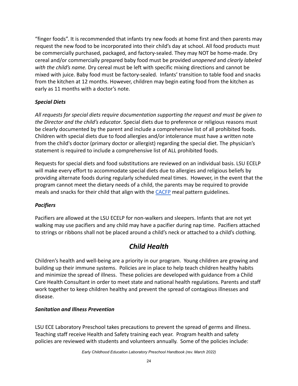"finger foods". It is recommended that infants try new foods at home first and then parents may request the new food to be incorporated into their child's day at school. All food products must be commercially purchased, packaged, and factory-sealed. They may NOT be home-made. Dry cereal and/or commercially prepared baby food must be provided *unopened* and *clearly labeled with the child's name.* Dry cereal must be left with specific mixing directions and cannot be mixed with juice. Baby food must be factory-sealed. Infants' transition to table food and snacks from the kitchen at 12 months. However, children may begin eating food from the kitchen as early as 11 months with a doctor's note.

# *Special Diets*

*All requests for special diets require documentation supporting the request and must be given to the Director and the child's educator*. Special diets due to preference or religious reasons must be clearly documented by the parent and include a comprehensive list of all prohibited foods. Children with special diets due to food allergies and/or intolerance must have a written note from the child's doctor (primary doctor or allergist) regarding the special diet. The physician's statement is required to include a comprehensive list of ALL prohibited foods.

Requests for special diets and food substitutions are reviewed on an individual basis. LSU ECELP will make every effort to accommodate special diets due to allergies and religious beliefs by providing alternate foods during regularly scheduled meal times. However, in the event that the program cannot meet the dietary needs of a child, the parents may be required to provide meals and snacks for their child that align with the [CACFP](https://www.cacfp.org/files/7615/0463/8220/NMP_Reminder_One_Page.pdf) meal pattern guidelines.

#### *Pacifiers*

Pacifiers are allowed at the LSU ECELP for non-walkers and sleepers. Infants that are not yet walking may use pacifiers and any child may have a pacifier during nap time. Pacifiers attached to strings or ribbons shall not be placed around a child's neck or attached to a child's clothing.

# *Child Health*

<span id="page-23-0"></span>Children's health and well-being are a priority in our program. Young children are growing and building up their immune systems. Policies are in place to help teach children healthy habits and minimize the spread of illness. These policies are developed with guidance from a Child Care Health Consultant in order to meet state and national health regulations. Parents and staff work together to keep children healthy and prevent the spread of contagious illnesses and disease.

#### *Sanitation and Illness Prevention*

LSU ECE Laboratory Preschool takes precautions to prevent the spread of germs and illness. Teaching staff receive Health and Safety training each year. Program health and safety policies are reviewed with students and volunteers annually. Some of the policies include: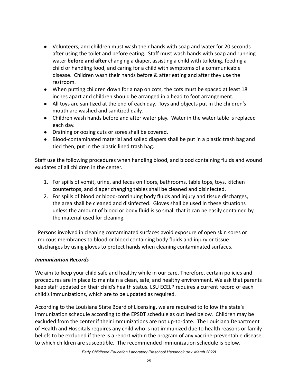- Volunteers, and children must wash their hands with soap and water for 20 seconds after using the toilet and before eating. Staff must wash hands with soap and running water **before and after** changing a diaper, assisting a child with toileting, feeding a child or handling food, and caring for a child with symptoms of a communicable disease. Children wash their hands before & after eating and after they use the restroom.
- When putting children down for a nap on cots, the cots must be spaced at least 18 inches apart and children should be arranged in a head to foot arrangement.
- All toys are sanitized at the end of each day. Toys and objects put in the children's mouth are washed and sanitized daily.
- Children wash hands before and after water play. Water in the water table is replaced each day.
- Draining or oozing cuts or sores shall be covered.
- Blood-contaminated material and soiled diapers shall be put in a plastic trash bag and tied then, put in the plastic lined trash bag.

Staff use the following procedures when handling blood, and blood containing fluids and wound exudates of all children in the center.

- 1. For spills of vomit, urine, and feces on floors, bathrooms, table tops, toys, kitchen countertops, and diaper changing tables shall be cleaned and disinfected.
- 2. For spills of blood or blood-continuing body fluids and injury and tissue discharges, the area shall be cleaned and disinfected. Gloves shall be used in these situations unless the amount of blood or body fluid is so small that it can be easily contained by the material used for cleaning.

Persons involved in cleaning contaminated surfaces avoid exposure of open skin sores or mucous membranes to blood or blood containing body fluids and injury or tissue discharges by using gloves to protect hands when cleaning contaminated surfaces.

#### *Immunization Records*

We aim to keep your child safe and healthy while in our care. Therefore, certain policies and procedures are in place to maintain a clean, safe, and healthy environment. We ask that parents keep staff updated on their child's health status. LSU ECELP requires a current record of each child's immunizations, which are to be updated as required.

According to the Louisiana State Board of Licensing, we are required to follow the state's immunization schedule according to the EPSDT schedule as outlined below. Children may be excluded from the center if their immunizations are not up-to-date. The Louisiana Department of Health and Hospitals requires any child who is not immunized due to health reasons or family beliefs to be excluded if there is a report within the program of any vaccine-preventable disease to which children are susceptible. The recommended immunization schedule is below.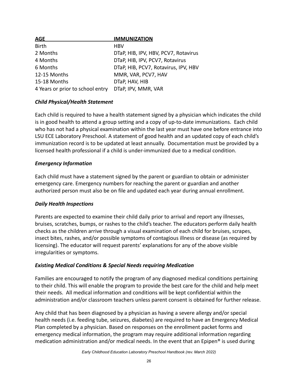| <b>AGE</b>                       | <b>IMMUNIZATION</b>                  |
|----------------------------------|--------------------------------------|
| <b>Birth</b>                     | <b>HBV</b>                           |
| 2 Months                         | DTaP, HIB, IPV, HBV, PCV7, Rotavirus |
| 4 Months                         | DTaP, HIB, IPV, PCV7, Rotavirus      |
| 6 Months                         | DTaP, HIB, PCV7, Rotavirus, IPV, HBV |
| 12-15 Months                     | MMR, VAR, PCV7, HAV                  |
| 15-18 Months                     | DTaP, HAV, HIB                       |
| 4 Years or prior to school entry | DTaP, IPV, MMR, VAR                  |

#### *Child Physical/Health Statement*

Each child is required to have a health statement signed by a physician which indicates the child is in good health to attend a group setting and a copy of up-to-date immunizations. Each child who has not had a physical examination within the last year must have one before entrance into LSU ECE Laboratory Preschool. A statement of good health and an updated copy of each child's immunization record is to be updated at least annually. Documentation must be provided by a licensed health professional if a child is under-immunized due to a medical condition.

#### *Emergency Information*

Each child must have a statement signed by the parent or guardian to obtain or administer emergency care. Emergency numbers for reaching the parent or guardian and another authorized person must also be on file and updated each year during annual enrollment.

#### *Daily Health Inspections*

Parents are expected to examine their child daily prior to arrival and report any illnesses, bruises, scratches, bumps, or rashes to the child's teacher. The educators perform daily health checks as the children arrive through a visual examination of each child for bruises, scrapes, insect bites, rashes, and/or possible symptoms of contagious illness or disease (as required by licensing). The educator will request parents' explanations for any of the above visible irregularities or symptoms.

#### *Existing Medical Conditions & Special Needs requiring Medication*

Families are encouraged to notify the program of any diagnosed medical conditions pertaining to their child. This will enable the program to provide the best care for the child and help meet their needs. All medical information and conditions will be kept confidential within the administration and/or classroom teachers unless parent consent is obtained for further release.

Any child that has been diagnosed by a physician as having a severe allergy and/or special health needs (i.e. feeding tube, seizures, diabetes) are required to have an Emergency Medical Plan completed by a physician. Based on responses on the enrollment packet forms and emergency medical information, the program may require additional information regarding medication administration and/or medical needs. In the event that an Epipen® is used during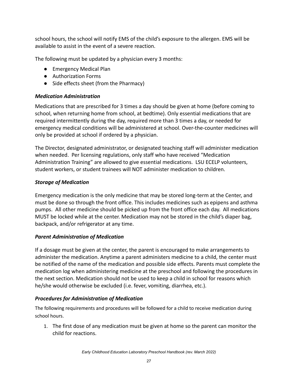school hours, the school will notify EMS of the child's exposure to the allergen. EMS will be available to assist in the event of a severe reaction.

The following must be updated by a physician every 3 months:

- Emergency Medical Plan
- Authorization Forms
- Side effects sheet (from the Pharmacy)

#### *Medication Administration*

Medications that are prescribed for 3 times a day should be given at home (before coming to school, when returning home from school, at bedtime). Only essential medications that are required intermittently during the day, required more than 3 times a day, or needed for emergency medical conditions will be administered at school. Over-the-counter medicines will only be provided at school if ordered by a physician.

The Director, designated administrator, or designated teaching staff will administer medication when needed. Per licensing regulations, only staff who have received "Medication Administration Training" are allowed to give essential medications. LSU ECELP volunteers, student workers, or student trainees will NOT administer medication to children.

### *Storage of Medication*

Emergency medication is the only medicine that may be stored long-term at the Center, and must be done so through the front office. This includes medicines such as epipens and asthma pumps. All other medicine should be picked up from the front office each day. All medications MUST be locked while at the center. Medication may not be stored in the child's diaper bag, backpack, and/or refrigerator at any time.

#### *Parent Administration of Medication*

If a dosage must be given at the center, the parent is encouraged to make arrangements to administer the medication. Anytime a parent administers medicine to a child, the center must be notified of the name of the medication and possible side effects. Parents must complete the medication log when administering medicine at the preschool and following the procedures in the next section. Medication should not be used to keep a child in school for reasons which he/she would otherwise be excluded (i.e. fever, vomiting, diarrhea, etc.).

# *Procedures for Administration of Medication*

The following requirements and procedures will be followed for a child to receive medication during school hours.

1. The first dose of any medication must be given at home so the parent can monitor the child for reactions.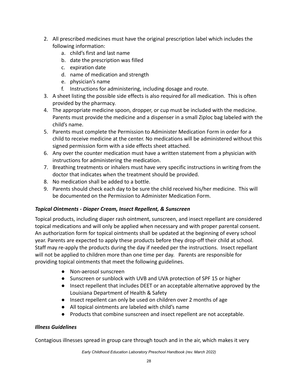- 2. All prescribed medicines must have the original prescription label which includes the following information:
	- a. child's first and last name
	- b. date the prescription was filled
	- c. expiration date
	- d. name of medication and strength
	- e. physician's name
	- f. Instructions for administering, including dosage and route.
- 3. A sheet listing the possible side effects is also required for all medication. This is often provided by the pharmacy.
- 4. The appropriate medicine spoon, dropper, or cup must be included with the medicine. Parents must provide the medicine and a dispenser in a small Ziploc bag labeled with the child's name.
- 5. Parents must complete the Permission to Administer Medication Form in order for a child to receive medicine at the center. No medications will be administered without this signed permission form with a side effects sheet attached.
- 6. Any over the counter medication must have a written statement from a physician with instructions for administering the medication.
- 7. Breathing treatments or inhalers must have very specific instructions in writing from the doctor that indicates when the treatment should be provided.
- 8. No medication shall be added to a bottle.
- 9. Parents should check each day to be sure the child received his/her medicine. This will be documented on the Permission to Administer Medication Form.

#### *Topical Ointments - Diaper Cream, Insect Repellent, & Sunscreen*

Topical products, including diaper rash ointment, sunscreen, and insect repellant are considered topical medications and will only be applied when necessary and with proper parental consent. An authorization form for topical ointments shall be updated at the beginning of every school year. Parents are expected to apply these products before they drop-off their child at school. Staff may re-apply the products during the day if needed per the instructions. Insect repellant will not be applied to children more than one time per day. Parents are responsible for providing topical ointments that meet the following guidelines.

- Non-aerosol sunscreen
- Sunscreen or sunblock with UVB and UVA protection of SPF 15 or higher
- Insect repellent that includes DEET or an acceptable alternative approved by the Louisiana Department of Health & Safety
- Insect repellent can only be used on children over 2 months of age
- All topical ointments are labeled with child's name
- Products that combine sunscreen and insect repellent are not acceptable.

#### *Illness Guidelines*

Contagious illnesses spread in group care through touch and in the air, which makes it very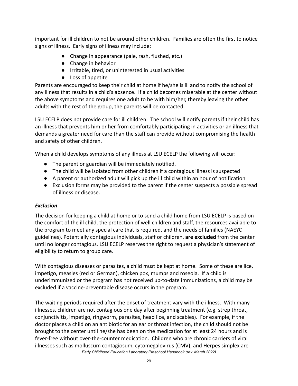important for ill children to not be around other children. Families are often the first to notice signs of illness. Early signs of illness may include:

- Change in appearance (pale, rash, flushed, etc.)
- Change in behavior
- Irritable, tired, or uninterested in usual activities
- Loss of appetite

Parents are encouraged to keep their child at home if he/she is ill and to notify the school of any illness that results in a child's absence. If a child becomes miserable at the center without the above symptoms and requires one adult to be with him/her, thereby leaving the other adults with the rest of the group, the parents will be contacted.

LSU ECELP does not provide care for ill children. The school will notify parents if their child has an illness that prevents him or her from comfortably participating in activities or an illness that demands a greater need for care than the staff can provide without compromising the health and safety of other children.

When a child develops symptoms of any illness at LSU ECELP the following will occur:

- The parent or guardian will be immediately notified.
- The child will be isolated from other children if a contagious illness is suspected
- A parent or authorized adult will pick up the ill child within an hour of notification
- Exclusion forms may be provided to the parent if the center suspects a possible spread of illness or disease.

# *Exclusion*

The decision for keeping a child at home or to send a child home from LSU ECELP is based on the comfort of the ill child, the protection of well children and staff, the resources available to the program to meet any special care that is required, and the needs of families (NAEYC guidelines). Potentially contagious individuals, staff or children, **are excluded** from the center until no longer contagious. LSU ECELP reserves the right to request a physician's statement of eligibility to return to group care.

With contagious diseases or parasites, a child must be kept at home. Some of these are lice, impetigo, measles (red or German), chicken pox, mumps and roseola. If a child is underimmunized or the program has not received up-to-date immunizations, a child may be excluded if a vaccine-preventable disease occurs in the program.

The waiting periods required after the onset of treatment vary with the illness. With many illnesses, children are not contagious one day after beginning treatment (e.g. strep throat, conjunctivitis, impetigo, ringworm, parasites, head lice, and scabies). For example, if the doctor places a child on an antibiotic for an ear or throat infection, the child should not be brought to the center until he/she has been on the medication for at least 24 hours and is fever-free without over-the-counter medication. Children who are chronic carriers of viral illnesses such as molluscum contagiosum, cytomegalovirus (CMV), and Herpes simplex are *Early Childhood Education Laboratory Preschool Handbook (rev. March 2022)*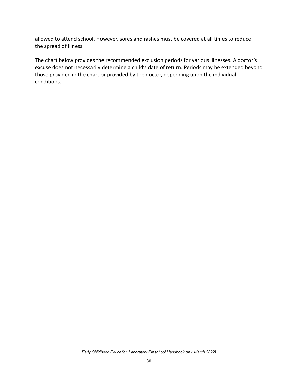allowed to attend school. However, sores and rashes must be covered at all times to reduce the spread of illness.

The chart below provides the recommended exclusion periods for various illnesses. A doctor's excuse does not necessarily determine a child's date of return. Periods may be extended beyond those provided in the chart or provided by the doctor, depending upon the individual conditions.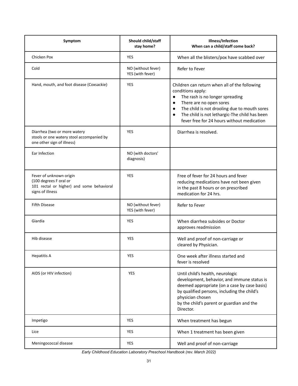| Symptom                                                                                                            | Should child/staff<br>stay home?       | Illness/Infection<br>When can a child/staff come back?                                                                                                                                                                                                                                                                              |
|--------------------------------------------------------------------------------------------------------------------|----------------------------------------|-------------------------------------------------------------------------------------------------------------------------------------------------------------------------------------------------------------------------------------------------------------------------------------------------------------------------------------|
| Chicken Pox                                                                                                        | <b>YES</b>                             | When all the blisters/pox have scabbed over                                                                                                                                                                                                                                                                                         |
| Cold                                                                                                               | NO (without fever)<br>YES (with fever) | Refer to Fever                                                                                                                                                                                                                                                                                                                      |
| Hand, mouth, and foot disease (Coxsackie)                                                                          | <b>YES</b>                             | Children can return when all of the following<br>conditions apply:<br>The rash is no longer spreading<br>$\bullet$<br>There are no open sores<br>$\bullet$<br>The child is not drooling due to mouth sores<br>$\bullet$<br>The child is not lethargic-The child has been<br>$\bullet$<br>fever free for 24 hours without medication |
| Diarrhea (two or more watery<br>stools or one watery stool accompanied by<br>one other sign of illness)            | YES                                    | Diarrhea is resolved.                                                                                                                                                                                                                                                                                                               |
| <b>Far Infection</b>                                                                                               | NO (with doctors'<br>diagnosis)        |                                                                                                                                                                                                                                                                                                                                     |
| Fever of unknown origin<br>(100 degrees F oral or<br>101 rectal or higher) and some behavioral<br>signs of illness | <b>YES</b>                             | Free of fever for 24 hours and fever<br>reducing medications have not been given<br>in the past 8 hours or on prescribed<br>medication for 24 hrs.                                                                                                                                                                                  |
| <b>Fifth Disease</b>                                                                                               | NO (without fever)<br>YES (with fever) | Refer to Fever                                                                                                                                                                                                                                                                                                                      |
| Giardia                                                                                                            | <b>YES</b>                             | When diarrhea subsides or Doctor<br>approves readmission                                                                                                                                                                                                                                                                            |
| Hib disease                                                                                                        | <b>YES</b>                             | Well and proof of non-carriage or<br>cleared by Physician.                                                                                                                                                                                                                                                                          |
| <b>Hepatitis A</b>                                                                                                 | <b>YES</b>                             | One week after illness started and<br>fever is resolved                                                                                                                                                                                                                                                                             |
| AIDS (or HIV infection)                                                                                            | <b>YES</b>                             | Until child's health, neurologic<br>development, behavior, and immune status is<br>deemed appropriate (on a case by case basis)<br>by qualified persons, including the child's<br>physician chosen<br>by the child's parent or guardian and the<br>Director.                                                                        |
| Impetigo                                                                                                           | <b>YES</b>                             | When treatment has begun                                                                                                                                                                                                                                                                                                            |
| Lice                                                                                                               | <b>YES</b>                             | When 1 treatment has been given                                                                                                                                                                                                                                                                                                     |
| Meningococcal disease                                                                                              | <b>YES</b>                             | Well and proof of non-carriage                                                                                                                                                                                                                                                                                                      |

*Early Childhood Education Laboratory Preschool Handbook (rev. March 2022)*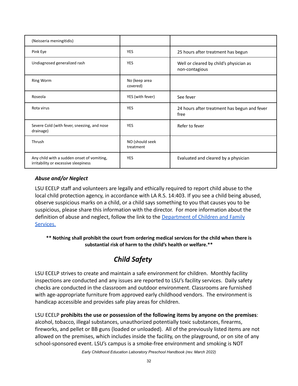| (Neisseria meningitidis)                                                           |                              |                                                           |
|------------------------------------------------------------------------------------|------------------------------|-----------------------------------------------------------|
| Pink Eye                                                                           | <b>YES</b>                   | 25 hours after treatment has begun                        |
| Undiagnosed generalized rash                                                       | <b>YES</b>                   | Well or cleared by child's physician as<br>non-contagious |
| <b>Ring Worm</b>                                                                   | No (keep area<br>covered)    |                                                           |
| Roseola                                                                            | YES (with fever)             | See fever                                                 |
| Rota virus                                                                         | <b>YES</b>                   | 24 hours after treatment has begun and fever<br>free      |
| Severe Cold (with fever, sneezing, and nose<br>drainage)                           | <b>YES</b>                   | Refer to fever                                            |
| Thrush                                                                             | NO (should seek<br>treatment |                                                           |
| Any child with a sudden onset of vomiting,<br>irritability or excessive sleepiness | <b>YES</b>                   | Evaluated and cleared by a physician                      |

#### *Abuse and/or Neglect*

LSU ECELP staff and volunteers are legally and ethically required to report child abuse to the local child protection agency, in accordance with LA R.S. 14:403. If you see a child being abused, observe suspicious marks on a child, or a child says something to you that causes you to be suspicious, please share this information with the director. For more information about the definition of abuse and neglect, follow the link to the [Department of Children and Family](http://dss.louisiana.gov/page/109) [Services.](http://dss.louisiana.gov/page/109)

**\*\* Nothing shall prohibit the court from ordering medical services for the child when there is substantial risk of harm to the child's health or welfare.\*\***

# *Child Safety*

<span id="page-31-0"></span>LSU ECELP strives to create and maintain a safe environment for children. Monthly facility inspections are conducted and any issues are reported to LSU's facility services. Daily safety checks are conducted in the classroom and outdoor environment. Classrooms are furnished with age-appropriate furniture from approved early childhood vendors. The environment is handicap accessible and provides safe play areas for children.

LSU ECELP **prohibits the use or possession of the following items by anyone on the premises**: alcohol, tobacco, illegal substances, unauthorized potentially toxic substances, firearms, fireworks, and pellet or BB guns (loaded or unloaded). All of the previously listed items are not allowed on the premises, which includes inside the facility, on the playground, or on site of any school-sponsored event. LSU's campus is a smoke-free environment and smoking is NOT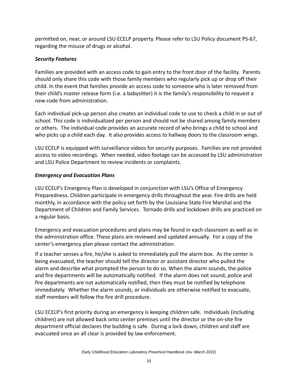permitted on, near, or around LSU ECELP property. Please refer to LSU Policy document PS-67, regarding the misuse of drugs or alcohol.

### *Security Features*

Families are provided with an access code to gain entry to the front door of the facility. Parents should only share this code with those family members who regularly pick up or drop off their child. In the event that families provide an access code to someone who is later removed from their child's master release form (i.e. a babysitter) it is the family's responsibility to request a new code from administration.

Each individual pick-up person also creates an individual code to use to check a child in or out of school. This code is individualized per person and should not be shared among family members or others. The individual code provides an accurate record of who brings a child to school and who picks up a child each day. It also provides access to hallway doors to the classroom wings.

LSU ECELP is equipped with surveillance videos for security purposes. Families are not provided access to video recordings. When needed, video footage can be accessed by LSU administration and LSU Police Department to review incidents or complaints.

### *Emergency and Evacuation Plans*

LSU ECELP's Emergency Plan is developed in conjunction with LSU's Office of Emergency Preparedness. Children participate in emergency drills throughout the year. Fire drills are held monthly, in accordance with the policy set forth by the Louisiana State Fire Marshal and the Department of Children and Family Services. Tornado drills and lockdown drills are practiced on a regular basis.

Emergency and evacuation procedures and plans may be found in each classroom as well as in the administration office. These plans are reviewed and updated annually. For a copy of the center's emergency plan please contact the administration.

If a teacher senses a fire, he/she is asked to immediately pull the alarm box. As the center is being evacuated, the teacher should tell the director or assistant director who pulled the alarm and describe what prompted the person to do so. When the alarm sounds, the police and fire departments will be automatically notified. If the alarm does not sound, police and fire departments are not automatically notified, then they must be notified by telephone immediately. Whether the alarm sounds, or individuals are otherwise notified to evacuate, staff members will follow the fire drill procedure.

LSU ECELP's first priority during an emergency is keeping children safe. Individuals (including children) are not allowed back onto center premises until the director or the on-site fire department official declares the building is safe. During a lock down, children and staff are evacuated once an all clear is provided by law enforcement.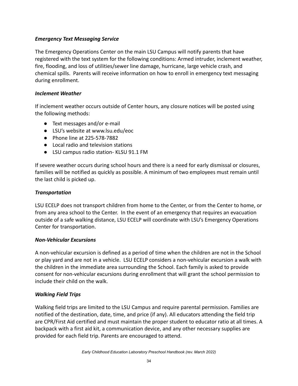#### *Emergency Text Messaging Service*

The Emergency Operations Center on the main LSU Campus will notify parents that have registered with the text system for the following conditions: Armed intruder, inclement weather, fire, flooding, and loss of utilities/sewer line damage, hurricane, large vehicle crash, and chemical spills. Parents will receive information on how to enroll in emergency text messaging during enrollment.

#### *Inclement Weather*

If inclement weather occurs outside of Center hours, any closure notices will be posted using the following methods:

- Text messages and/or e-mail
- LSU's website at www.lsu.edu/eoc
- Phone line at 225-578-7882
- Local radio and television stations
- LSU campus radio station- KLSU 91.1 FM

If severe weather occurs during school hours and there is a need for early dismissal or closures, families will be notified as quickly as possible. A minimum of two employees must remain until the last child is picked up.

#### *Transportation*

LSU ECELP does not transport children from home to the Center, or from the Center to home, or from any area school to the Center. In the event of an emergency that requires an evacuation outside of a safe walking distance, LSU ECELP will coordinate with LSU's Emergency Operations Center for transportation.

#### *Non-Vehicular Excursions*

A non-vehicular excursion is defined as a period of time when the children are not in the School or play yard and are not in a vehicle. LSU ECELP considers a non-vehicular excursion a walk with the children in the immediate area surrounding the School. Each family is asked to provide consent for non-vehicular excursions during enrollment that will grant the school permission to include their child on the walk.

#### *Walking Field Trips*

Walking field trips are limited to the LSU Campus and require parental permission. Families are notified of the destination, date, time, and price (if any). All educators attending the field trip are CPR/First Aid certified and must maintain the proper student to educator ratio at all times. A backpack with a first aid kit, a communication device, and any other necessary supplies are provided for each field trip. Parents are encouraged to attend.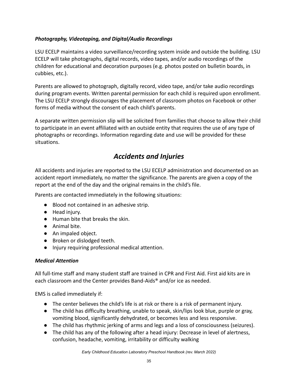### *Photography, Videotaping, and Digital/Audio Recordings*

LSU ECELP maintains a video surveillance/recording system inside and outside the building. LSU ECELP will take photographs, digital records, video tapes, and/or audio recordings of the children for educational and decoration purposes (e.g. photos posted on bulletin boards, in cubbies, etc.).

Parents are allowed to photograph, digitally record, video tape, and/or take audio recordings during program events. Written parental permission for each child is required upon enrollment. The LSU ECELP strongly discourages the placement of classroom photos on Facebook or other forms of media without the consent of each child's parents.

A separate written permission slip will be solicited from families that choose to allow their child to participate in an event affiliated with an outside entity that requires the use of any type of photographs or recordings. Information regarding date and use will be provided for these situations.

# *Accidents and Injuries*

<span id="page-34-0"></span>All accidents and injuries are reported to the LSU ECELP administration and documented on an accident report immediately, no matter the significance. The parents are given a copy of the report at the end of the day and the original remains in the child's file.

Parents are contacted immediately in the following situations:

- Blood not contained in an adhesive strip.
- Head injury.
- Human bite that breaks the skin.
- Animal bite.
- An impaled object.
- Broken or dislodged teeth.
- Injury requiring professional medical attention.

#### *Medical Attention*

All full-time staff and many student staff are trained in CPR and First Aid. First aid kits are in each classroom and the Center provides Band-Aids® and/or ice as needed.

EMS is called immediately if:

- The center believes the child's life is at risk or there is a risk of permanent injury.
- The child has difficulty breathing, unable to speak, skin/lips look blue, purple or gray, vomiting blood, significantly dehydrated, or becomes less and less responsive.
- The child has rhythmic jerking of arms and legs and a loss of consciousness (seizures).
- The child has any of the following after a head injury: Decrease in level of alertness, confusion, headache, vomiting, irritability or difficulty walking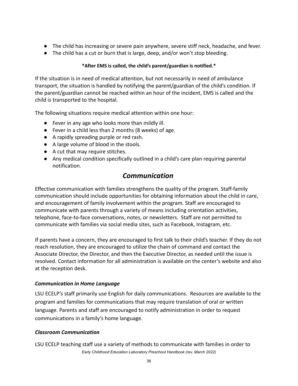- The child has increasing or severe pain anywhere, severe stiff neck, headache, and fever.
- The child has a cut or burn that is large, deep, and/or won't stop bleeding.

#### **\*After EMS is called, the child's parent/guardian is notified.\***

If the situation is in need of medical attention, but not necessarily in need of ambulance transport, the situation is handled by notifying the parent/guardian of the child's condition. If the parent/guardian cannot be reached within an hour of the incident, EMS is called and the child is transported to the hospital.

The following situations require medical attention within one hour:

- Fever in any age who looks more than mildly ill.
- Fever in a child less than 2 months (8 weeks) of age.
- A rapidly spreading purple or red rash.
- A large volume of blood in the stools.
- A cut that may require stitches.
- <span id="page-35-0"></span>● Any medical condition specifically outlined in a child's care plan requiring parental notification.

# *Communication*

Effective communication with families strengthens the quality of the program. Staff-family communication should include opportunities for obtaining information about the child in care, and encouragement of family involvement within the program. Staff are encouraged to communicate with parents through a variety of means including orientation activities, telephone, face-to-face conversations, notes, or newsletters. Staff are not permitted to communicate with families via social media sites, such as Facebook, Instagram, etc.

If parents have a concern, they are encouraged to first talk to their child's teacher. If they do not reach resolution, they are encouraged to utilize the chain of command and contact the Associate Director, the Director, and then the Executive Director, as needed until the issue is resolved. Contact information for all administration is available on the center's website and also at the reception desk.

#### *Communication in Home Language*

LSU ECELP's staff primarily use English for daily communications. Resources are available to the program and families for communications that may require translation of oral or written language. Parents and staff are encouraged to notify administration in order to request communications in a family's home language.

#### *Classroom Communication*

LSU ECELP teaching staff use a variety of methods to communicate with families in order to *Early Childhood Education Laboratory Preschool Handbook (rev. March 2022)*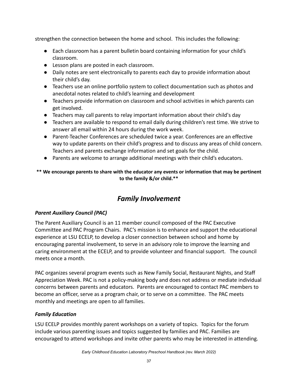strengthen the connection between the home and school. This includes the following:

- Each classroom has a parent bulletin board containing information for your child's classroom.
- Lesson plans are posted in each classroom.
- Daily notes are sent electronically to parents each day to provide information about their child's day.
- Teachers use an online portfolio system to collect documentation such as photos and anecdotal notes related to child's learning and development
- Teachers provide information on classroom and school activities in which parents can get involved.
- Teachers may call parents to relay important information about their child's day
- Teachers are available to respond to email daily during children's rest time. We strive to answer all email within 24 hours during the work week.
- Parent-Teacher Conferences are scheduled twice a year. Conferences are an effective way to update parents on their child's progress and to discuss any areas of child concern. Teachers and parents exchange information and set goals for the child.
- Parents are welcome to arrange additional meetings with their child's educators.

# **\*\* We encourage parents to share with the educator any events or information that may be pertinent to the family &/or child.\*\***

# *Family Involvement*

# <span id="page-36-0"></span>*Parent Auxiliary Council (PAC)*

The Parent Auxiliary Council is an 11 member council composed of the PAC Executive Committee and PAC Program Chairs. PAC's mission is to enhance and support the educational experience at LSU ECELP, to develop a closer connection between school and home by encouraging parental involvement, to serve in an advisory role to improve the learning and caring environment at the ECELP, and to provide volunteer and financial support. The council meets once a month.

PAC organizes several program events such as New Family Social, Restaurant Nights, and Staff Appreciation Week. PAC is not a policy-making body and does not address or mediate individual concerns between parents and educators. Parents are encouraged to contact PAC members to become an officer, serve as a program chair, or to serve on a committee. The PAC meets monthly and meetings are open to all families.

# *Family Education*

LSU ECELP provides monthly parent workshops on a variety of topics. Topics for the forum include various parenting issues and topics suggested by families and PAC. Families are encouraged to attend workshops and invite other parents who may be interested in attending.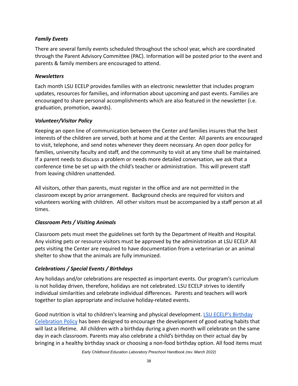#### *Family Events*

There are several family events scheduled throughout the school year, which are coordinated through the Parent Advisory Committee (PAC). Information will be posted prior to the event and parents & family members are encouraged to attend.

#### *Newsletters*

Each month LSU ECELP provides families with an electronic newsletter that includes program updates, resources for families, and information about upcoming and past events. Families are encouraged to share personal accomplishments which are also featured in the newsletter (i.e. graduation, promotion, awards).

### *Volunteer/Visitor Policy*

Keeping an open line of communication between the Center and families insures that the best interests of the children are served, both at home and at the Center. All parents are encouraged to visit, telephone, and send notes whenever they deem necessary. An open door policy for families, university faculty and staff, and the community to visit at any time shall be maintained. If a parent needs to discuss a problem or needs more detailed conversation, we ask that a conference time be set up with the child's teacher or administration. This will prevent staff from leaving children unattended.

All visitors, other than parents, must register in the office and are not permitted in the classroom except by prior arrangement. Background checks are required for visitors and volunteers working with children. All other visitors must be accompanied by a staff person at all times.

# *Classroom Pets / Visiting Animals*

Classroom pets must meet the guidelines set forth by the Department of Health and Hospital. Any visiting pets or resource visitors must be approved by the administration at LSU ECELP. All pets visiting the Center are required to have documentation from a veterinarian or an animal shelter to show that the animals are fully immunized.

# *Celebrations / Special Events / Birthdays*

Any holidays and/or celebrations are respected as important events. Our program's curriculum is not holiday driven, therefore, holidays are not celebrated. LSU ECELP strives to identify individual similarities and celebrate individual differences. Parents and teachers will work together to plan appropriate and inclusive holiday-related events.

Good nutrition is vital to children's learning and physical development. [LSU ECELP's Birthday](https://drive.google.com/file/d/1ULblKdHA3jaTd7UkAQzVvkR4Y4i3kpEp/view?usp=sharing) [Celebration Policy](https://drive.google.com/file/d/1ULblKdHA3jaTd7UkAQzVvkR4Y4i3kpEp/view?usp=sharing) has been designed to encourage the development of good eating habits that will last a lifetime. All children with a birthday during a given month will celebrate on the same day in each classroom. Parents may also celebrate a child's birthday on their actual day by bringing in a healthy birthday snack or choosing a non-food birthday option. All food items must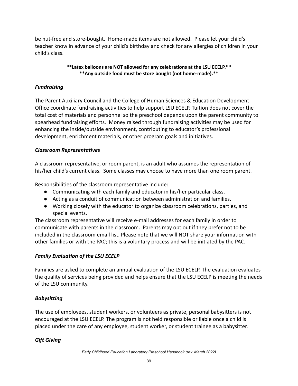be nut-free and store-bought. Home-made items are not allowed. Please let your child's teacher know in advance of your child's birthday and check for any allergies of children in your child's class.

#### **\*\*Latex balloons are NOT allowed for any celebrations at the LSU ECELP.\*\* \*\*Any outside food must be store bought (not home-made).\*\***

### *Fundraising*

The Parent Auxiliary Council and the College of Human Sciences & Education Development Office coordinate fundraising activities to help support LSU ECELP. Tuition does not cover the total cost of materials and personnel so the preschool depends upon the parent community to spearhead fundraising efforts. Money raised through fundraising activities may be used for enhancing the inside/outside environment, contributing to educator's professional development, enrichment materials, or other program goals and initiatives.

#### *Classroom Representatives*

A classroom representative, or room parent, is an adult who assumes the representation of his/her child's current class. Some classes may choose to have more than one room parent.

Responsibilities of the classroom representative include:

- Communicating with each family and educator in his/her particular class.
- Acting as a conduit of communication between administration and families.
- Working closely with the educator to organize classroom celebrations, parties, and special events.

The classroom representative will receive e-mail addresses for each family in order to communicate with parents in the classroom. Parents may opt out if they prefer not to be included in the classroom email list. Please note that we will NOT share your information with other families or with the PAC; this is a voluntary process and will be initiated by the PAC.

# *Family Evaluation of the LSU ECELP*

Families are asked to complete an annual evaluation of the LSU ECELP. The evaluation evaluates the quality of services being provided and helps ensure that the LSU ECELP is meeting the needs of the LSU community.

#### *Babysitting*

The use of employees, student workers, or volunteers as private, personal babysitters is not encouraged at the LSU ECELP. The program is not held responsible or liable once a child is placed under the care of any employee, student worker, or student trainee as a babysitter.

# *Gift Giving*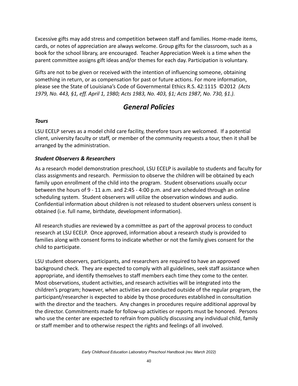Excessive gifts may add stress and competition between staff and families. Home-made items, cards, or notes of appreciation are always welcome. Group gifts for the classroom, such as a book for the school library, are encouraged. Teacher Appreciation Week is a time when the parent committee assigns gift ideas and/or themes for each day. Participation is voluntary.

Gifts are not to be given or received with the intention of influencing someone, obtaining something in return, or as compensation for past or future actions. For more information, please see the State of Louisiana's Code of Governmental Ethics R.S. 42:1115 ©2012 *(Acts 1979, No. 443, §1, eff. April 1, 1980; Acts 1983, No. 403, §1; Acts 1987, No. 730, §1.).*

# *General Policies*

#### <span id="page-39-0"></span>*Tours*

LSU ECELP serves as a model child care facility, therefore tours are welcomed. If a potential client, university faculty or staff, or member of the community requests a tour, then it shall be arranged by the administration.

#### *Student Observers & Researchers*

As a research model demonstration preschool, LSU ECELP is available to students and faculty for class assignments and research. Permission to observe the children will be obtained by each family upon enrollment of the child into the program. Student observations usually occur between the hours of 9 - 11 a.m. and 2:45 - 4:00 p.m. and are scheduled through an online scheduling system. Student observers will utilize the observation windows and audio. Confidential information about children is not released to student observers unless consent is obtained (i.e. full name, birthdate, development information).

All research studies are reviewed by a committee as part of the approval process to conduct research at LSU ECELP. Once approved, information about a research study is provided to families along with consent forms to indicate whether or not the family gives consent for the child to participate.

LSU student observers, participants, and researchers are required to have an approved background check. They are expected to comply with all guidelines, seek staff assistance when appropriate, and identify themselves to staff members each time they come to the center. Most observations, student activities, and research activities will be integrated into the children's program; however, when activities are conducted outside of the regular program, the participant/researcher is expected to abide by those procedures established in consultation with the director and the teachers. Any changes in procedures require additional approval by the director. Commitments made for follow-up activities or reports must be honored. Persons who use the center are expected to refrain from publicly discussing any individual child, family or staff member and to otherwise respect the rights and feelings of all involved.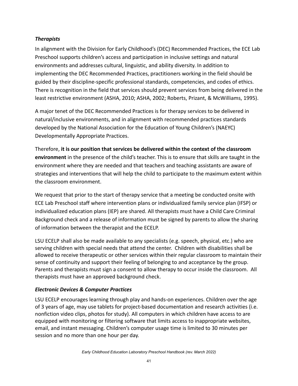#### *Therapists*

In alignment with the Division for Early Childhood's (DEC) Recommended Practices, the ECE Lab Preschool supports children's access and participation in inclusive settings and natural environments and addresses cultural, linguistic, and ability diversity. In addition to implementing the DEC Recommended Practices, practitioners working in the field should be guided by their discipline-specific professional standards, competencies, and codes of ethics. There is recognition in the field that services should prevent services from being delivered in the least restrictive environment (ASHA, 2010; ASHA, 2002; Roberts, Prizant, & McWilliams, 1995).

A major tenet of the DEC Recommended Practices is for therapy services to be delivered in natural/inclusive environments, and in alignment with recommended practices standards developed by the National Association for the Education of Young Children's (NAEYC) Developmentally Appropriate Practices.

Therefore, **it is our position that services be delivered within the context of the classroom environment** in the presence of the child's teacher. This is to ensure that skills are taught in the environment where they are needed and that teachers and teaching assistants are aware of strategies and interventions that will help the child to participate to the maximum extent within the classroom environment.

We request that prior to the start of therapy service that a meeting be conducted onsite with ECE Lab Preschool staff where intervention plans or individualized family service plan (IFSP) or individualized education plans (IEP) are shared. All therapists must have a Child Care Criminal Background check and a release of information must be signed by parents to allow the sharing of information between the therapist and the ECELP.

LSU ECELP shall also be made available to any specialists (e.g. speech, physical, etc.) who are serving children with special needs that attend the center. Children with disabilities shall be allowed to receive therapeutic or other services within their regular classroom to maintain their sense of continuity and support their feeling of belonging to and acceptance by the group. Parents and therapists must sign a consent to allow therapy to occur inside the classroom. All therapists must have an approved background check.

# *Electronic Devices & Computer Practices*

LSU ECELP encourages learning through play and hands-on experiences. Children over the age of 3 years of age, may use tablets for project-based documentation and research activities (i.e. nonfiction video clips, photos for study). All computers in which children have access to are equipped with monitoring or filtering software that limits access to inappropriate websites, email, and instant messaging. Children's computer usage time is limited to 30 minutes per session and no more than one hour per day.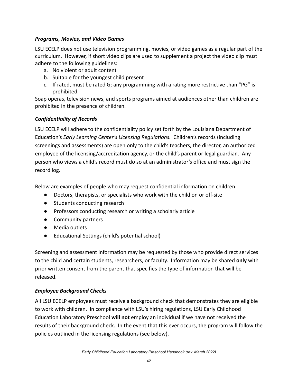#### *Programs, Movies, and Video Games*

LSU ECELP does not use television programming, movies, or video games as a regular part of the curriculum. However, if short video clips are used to supplement a project the video clip must adhere to the following guidelines:

- a. No violent or adult content
- b. Suitable for the youngest child present
- c. If rated, must be rated G; any programming with a rating more restrictive than "PG" is prohibited.

Soap operas, television news, and sports programs aimed at audiences other than children are prohibited in the presence of children.

# *Confidentiality of Records*

LSU ECELP will adhere to the confidentiality policy set forth by the Louisiana Department of Education's *Early Learning Center's Licensing Regulations.* Children's records (including screenings and assessments) are open only to the child's teachers, the director, an authorized employee of the licensing/accreditation agency, or the child's parent or legal guardian. Any person who views a child's record must do so at an administrator's office and must sign the record log.

Below are examples of people who may request confidential information on children.

- Doctors, therapists, or specialists who work with the child on or off-site
- Students conducting research
- Professors conducting research or writing a scholarly article
- Community partners
- Media outlets
- Educational Settings (child's potential school)

Screening and assessment information may be requested by those who provide direct services to the child and certain students, researchers, or faculty. Information may be shared **only** with prior written consent from the parent that specifies the type of information that will be released.

# *Employee Background Checks*

All LSU ECELP employees must receive a background check that demonstrates they are eligible to work with children. In compliance with LSU's hiring regulations, LSU Early Childhood Education Laboratory Preschool **will not** employ an individual if we have not received the results of their background check. In the event that this ever occurs, the program will follow the policies outlined in the licensing regulations (see below).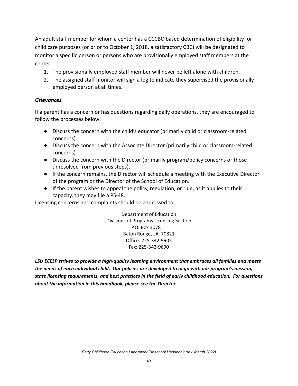An adult staff member for whom a center has a CCCBC-based determination of eligibility for child care purposes (or prior to October 1, 2018, a satisfactory CBC) will be designated to monitor a specific person or persons who are provisionally employed staff members at the center.

- 1. The provisionally employed staff member will never be left alone with children.
- 2. The assigned staff monitor will sign a log to indicate they supervised the provisionally employed person at all times.

#### *Grievances*

If a parent has a concern or has questions regarding daily operations, they are encouraged to follow the processes below:

- Discuss the concern with the child's educator (primarily child or classroom-related concerns).
- Discuss the concern with the Associate Director (primarily child or classroom-related concerns)
- Discuss the concern with the Director (primarily program/policy concerns or those unresolved from previous steps).
- If the concern remains, the Director will schedule a meeting with the Executive Director of the program or the Director of the School of Education.
- If the parent wishes to appeal the policy, regulation, or rule, as it applies to their capacity, they may file a PS-48.

Licensing concerns and complaints should be addressed to:

Department of Education Divisions of Programs Licensing Section P.O. Box 3078 Baton Rouge, LA 70821 Office: 225-342-9905 Fax: 225-342-9690

*LSU ECELP strives to provide a high-quality learning environment that embraces all families and meets the needs of each individual child. Our policies are developed to align with our program's mission, state licensing requirements, and best practices in the field of early childhood education. For questions about the information in this handbook, please see the Director.*